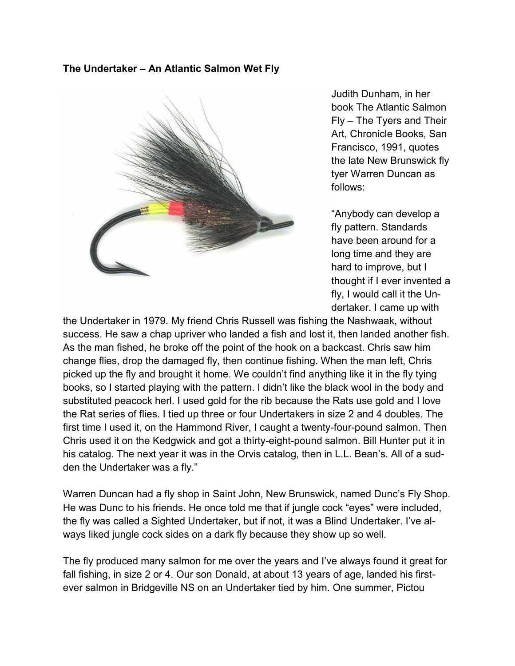## **The Undertaker – An Atlantic Salmon Wet Fly**



Judith Dunham, in her book The Atlantic Salmon Fly – The Tyers and Their Art, Chronicle Books, San Francisco, 1991, quotes the late New Brunswick fly tyer Warren Duncan as follows:

"Anybody can develop a fly pattern. Standards have been around for a long time and they are hard to improve, but I thought if I ever invented a fly, I would call it the Undertaker. I came up with

the Undertaker in 1979. My friend Chris Russell was fishing the Nashwaak, without success. He saw a chap upriver who landed a fish and lost it, then landed another fish. As the man fished, he broke off the point of the hook on a backcast. Chris saw him change flies, drop the damaged fly, then continue fishing. When the man left, Chris picked up the fly and brought it home. We couldn't find anything like it in the fly tying books, so I started playing with the pattern. I didn't like the black wool in the body and substituted peacock herl. I used gold for the rib because the Rats use gold and I love the Rat series of flies. I tied up three or four Undertakers in size 2 and 4 doubles. The first time I used it, on the Hammond River, I caught a twenty-four-pound salmon. Then Chris used it on the Kedgwick and got a thirty-eight-pound salmon. Bill Hunter put it in his catalog. The next year it was in the Orvis catalog, then in L.L. Bean's. All of a sudden the Undertaker was a fly."

Warren Duncan had a fly shop in Saint John, New Brunswick, named Dunc's Fly Shop. He was Dunc to his friends. He once told me that if jungle cock "eyes" were included, the fly was called a Sighted Undertaker, but if not, it was a Blind Undertaker. I've always liked jungle cock sides on a dark fly because they show up so well.

The fly produced many salmon for me over the years and I've always found it great for fall fishing, in size 2 or 4. Our son Donald, at about 13 years of age, landed his firstever salmon in Bridgeville NS on an Undertaker tied by him. One summer, Pictou